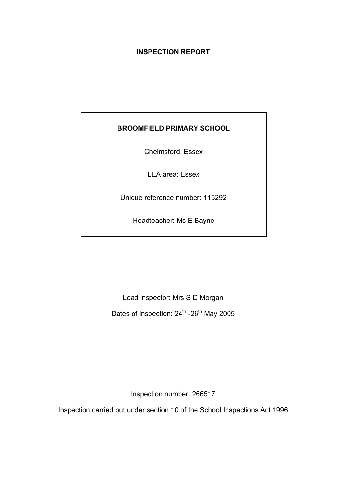# **INSPECTION REPORT**

# **BROOMFIELD PRIMARY SCHOOL**

Chelmsford, Essex

LEA area: Essex

Unique reference number: 115292

Headteacher: Ms E Bayne

Lead inspector: Mrs S D Morgan Dates of inspection: 24<sup>th</sup> -26<sup>th</sup> May 2005

Inspection number: 266517

Inspection carried out under section 10 of the School Inspections Act 1996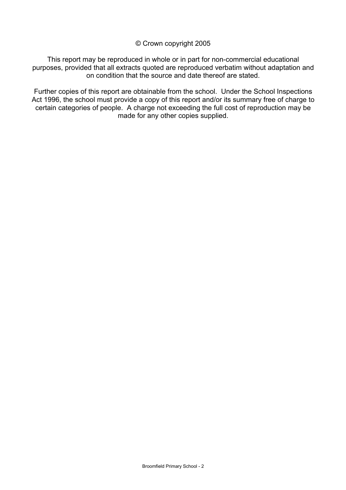### © Crown copyright 2005

This report may be reproduced in whole or in part for non-commercial educational purposes, provided that all extracts quoted are reproduced verbatim without adaptation and on condition that the source and date thereof are stated.

Further copies of this report are obtainable from the school. Under the School Inspections Act 1996, the school must provide a copy of this report and/or its summary free of charge to certain categories of people. A charge not exceeding the full cost of reproduction may be made for any other copies supplied.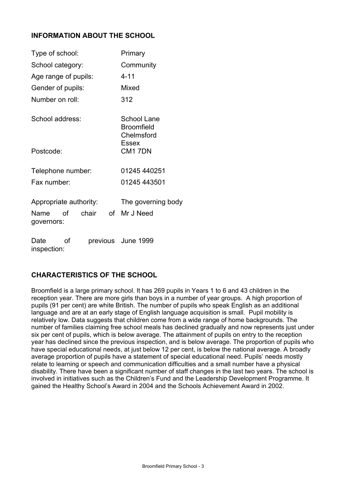# **INFORMATION ABOUT THE SCHOOL**

| Type of school:                                          | Primary                                        |
|----------------------------------------------------------|------------------------------------------------|
| School category:                                         | Community                                      |
| Age range of pupils:                                     | 4-11                                           |
| Gender of pupils:                                        | Mixed                                          |
| Number on roll:                                          | 312                                            |
| School address:                                          | School Lane<br><b>Broomfield</b><br>Chelmsford |
| Postcode:                                                | Essex<br>CM17DN                                |
| Telephone number:                                        | 01245 440251                                   |
| Fax number:                                              | 01245 443501                                   |
| Appropriate authority:<br>chair<br>Name of<br>governors: | The governing body<br>of Mr J Need             |
| Date<br>οf<br>inspection:                                | previous June 1999                             |

# **CHARACTERISTICS OF THE SCHOOL**

Broomfield is a large primary school. It has 269 pupils in Years 1 to 6 and 43 children in the reception year. There are more girls than boys in a number of year groups. A high proportion of pupils (91 per cent) are white British. The number of pupils who speak English as an additional language and are at an early stage of English language acquisition is small. Pupil mobility is relatively low. Data suggests that children come from a wide range of home backgrounds. The number of families claiming free school meals has declined gradually and now represents just under six per cent of pupils, which is below average. The attainment of pupils on entry to the reception year has declined since the previous inspection, and is below average. The proportion of pupils who have special educational needs, at just below 12 per cent, is below the national average. A broadly average proportion of pupils have a statement of special educational need. Pupils' needs mostly relate to learning or speech and communication difficulties and a small number have a physical disability. There have been a significant number of staff changes in the last two years. The school is involved in initiatives such as the Children's Fund and the Leadership Development Programme. It gained the Healthy School's Award in 2004 and the Schools Achievement Award in 2002.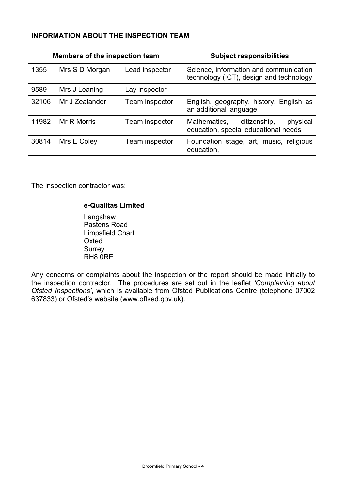# **INFORMATION ABOUT THE INSPECTION TEAM**

|       | Members of the inspection team |                | <b>Subject responsibilities</b>                                                   |
|-------|--------------------------------|----------------|-----------------------------------------------------------------------------------|
| 1355  | Mrs S D Morgan                 | Lead inspector | Science, information and communication<br>technology (ICT), design and technology |
| 9589  | Mrs J Leaning                  | Lay inspector  |                                                                                   |
| 32106 | Mr J Zealander                 | Team inspector | English, geography, history, English as<br>an additional language                 |
| 11982 | Mr R Morris                    | Team inspector | physical<br>Mathematics,<br>citizenship,<br>education, special educational needs  |
| 30814 | Mrs E Coley                    | Team inspector | Foundation stage, art, music, religious<br>education,                             |

The inspection contractor was:

### **e-Qualitas Limited**

 Langshaw Pastens Road Limpsfield Chart **Oxted Surrey** RH8 0RE

Any concerns or complaints about the inspection or the report should be made initially to the inspection contractor. The procedures are set out in the leaflet *'Complaining about Ofsted Inspections'*, which is available from Ofsted Publications Centre (telephone 07002 637833) or Ofsted's website (www.oftsed.gov.uk).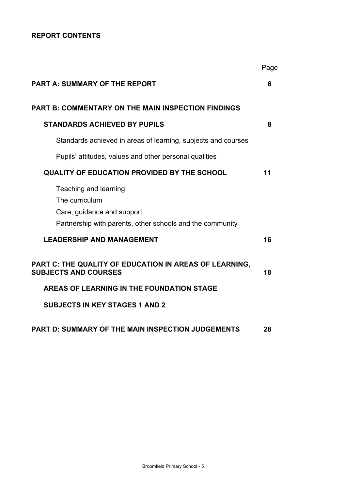# **REPORT CONTENTS**

|                                                                                                                                    | Page |
|------------------------------------------------------------------------------------------------------------------------------------|------|
| <b>PART A: SUMMARY OF THE REPORT</b>                                                                                               | 6    |
| <b>PART B: COMMENTARY ON THE MAIN INSPECTION FINDINGS</b>                                                                          |      |
| <b>STANDARDS ACHIEVED BY PUPILS</b>                                                                                                | 8    |
| Standards achieved in areas of learning, subjects and courses                                                                      |      |
| Pupils' attitudes, values and other personal qualities                                                                             |      |
| <b>QUALITY OF EDUCATION PROVIDED BY THE SCHOOL</b>                                                                                 | 11   |
| Teaching and learning<br>The curriculum<br>Care, guidance and support<br>Partnership with parents, other schools and the community |      |
| <b>LEADERSHIP AND MANAGEMENT</b>                                                                                                   | 16   |
| PART C: THE QUALITY OF EDUCATION IN AREAS OF LEARNING,<br><b>SUBJECTS AND COURSES</b>                                              | 18   |
| AREAS OF LEARNING IN THE FOUNDATION STAGE                                                                                          |      |
| <b>SUBJECTS IN KEY STAGES 1 AND 2</b>                                                                                              |      |
| <b>PART D: SUMMARY OF THE MAIN INSPECTION JUDGEMENTS</b>                                                                           | 28   |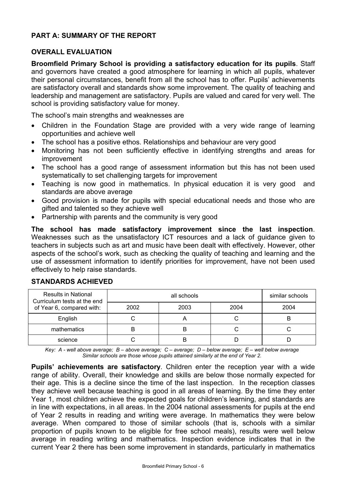# **PART A: SUMMARY OF THE REPORT**

## **OVERALL EVALUATION**

**Broomfield Primary School is providing a satisfactory education for its pupils**. Staff and governors have created a good atmosphere for learning in which all pupils, whatever their personal circumstances, benefit from all the school has to offer. Pupils' achievements are satisfactory overall and standards show some improvement. The quality of teaching and leadership and management are satisfactory. Pupils are valued and cared for very well. The school is providing satisfactory value for money.

The school's main strengths and weaknesses are

- Children in the Foundation Stage are provided with a very wide range of learning opportunities and achieve well
- The school has a positive ethos. Relationships and behaviour are very good
- Monitoring has not been sufficiently effective in identifying strengths and areas for improvement
- The school has a good range of assessment information but this has not been used systematically to set challenging targets for improvement
- Teaching is now good in mathematics. In physical education it is very good and standards are above average
- Good provision is made for pupils with special educational needs and those who are gifted and talented so they achieve well
- Partnership with parents and the community is very good

**The school has made satisfactory improvement since the last inspection**. Weaknesses such as the unsatisfactory ICT resources and a lack of guidance given to teachers in subjects such as art and music have been dealt with effectively. However, other aspects of the school's work, such as checking the quality of teaching and learning and the use of assessment information to identify priorities for improvement, have not been used effectively to help raise standards.

| <b>Results in National</b><br>Curriculum tests at the end |      | similar schools |      |      |
|-----------------------------------------------------------|------|-----------------|------|------|
| of Year 6, compared with:                                 | 2002 | 2003            | 2004 | 2004 |
| English                                                   |      |                 |      | B    |
| mathematics                                               |      | B               |      |      |
| science                                                   |      | E               |      |      |

#### **STANDARDS ACHIEVED**

*Key: A - well above average; B – above average; C – average; D – below average; E – well below average Similar schools are those whose pupils attained similarly at the end of Year 2.* 

**Pupils' achievements are satisfactory**. Children enter the reception year with a wide range of ability. Overall, their knowledge and skills are below those normally expected for their age. This is a decline since the time of the last inspection. In the reception classes they achieve well because teaching is good in all areas of learning. By the time they enter Year 1, most children achieve the expected goals for children's learning, and standards are in line with expectations, in all areas. In the 2004 national assessments for pupils at the end of Year 2 results in reading and writing were average. In mathematics they were below average. When compared to those of similar schools (that is, schools with a similar proportion of pupils known to be eligible for free school meals), results were well below average in reading writing and mathematics. Inspection evidence indicates that in the current Year 2 there has been some improvement in standards, particularly in mathematics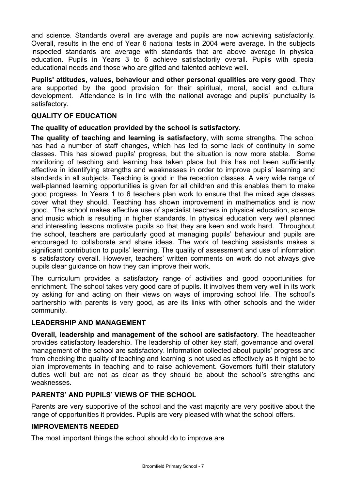and science. Standards overall are average and pupils are now achieving satisfactorily. Overall, results in the end of Year 6 national tests in 2004 were average. In the subjects inspected standards are average with standards that are above average in physical education. Pupils in Years 3 to 6 achieve satisfactorily overall. Pupils with special educational needs and those who are gifted and talented achieve well.

**Pupils' attitudes, values, behaviour and other personal qualities are very good**. They are supported by the good provision for their spiritual, moral, social and cultural development. Attendance is in line with the national average and pupils' punctuality is satisfactory.

## **QUALITY OF EDUCATION**

#### **The quality of education provided by the school is satisfactory**.

**The quality of teaching and learning is satisfactory**, with some strengths. The school has had a number of staff changes, which has led to some lack of continuity in some classes. This has slowed pupils' progress, but the situation is now more stable. Some monitoring of teaching and learning has taken place but this has not been sufficiently effective in identifying strengths and weaknesses in order to improve pupils' learning and standards in all subjects. Teaching is good in the reception classes. A very wide range of well-planned learning opportunities is given for all children and this enables them to make good progress. In Years 1 to 6 teachers plan work to ensure that the mixed age classes cover what they should. Teaching has shown improvement in mathematics and is now good. The school makes effective use of specialist teachers in physical education, science and music which is resulting in higher standards. In physical education very well planned and interesting lessons motivate pupils so that they are keen and work hard. Throughout the school, teachers are particularly good at managing pupils' behaviour and pupils are encouraged to collaborate and share ideas. The work of teaching assistants makes a significant contribution to pupils' learning. The quality of assessment and use of information is satisfactory overall. However, teachers' written comments on work do not always give pupils clear guidance on how they can improve their work.

The curriculum provides a satisfactory range of activities and good opportunities for enrichment. The school takes very good care of pupils. It involves them very well in its work by asking for and acting on their views on ways of improving school life. The school's partnership with parents is very good, as are its links with other schools and the wider community.

# **LEADERSHIP AND MANAGEMENT**

**Overall, leadership and management of the school are satisfactory**. The headteacher provides satisfactory leadership. The leadership of other key staff, governance and overall management of the school are satisfactory. Information collected about pupils' progress and from checking the quality of teaching and learning is not used as effectively as it might be to plan improvements in teaching and to raise achievement. Governors fulfil their statutory duties well but are not as clear as they should be about the school's strengths and weaknesses.

### **PARENTS' AND PUPILS' VIEWS OF THE SCHOOL**

Parents are very supportive of the school and the vast majority are very positive about the range of opportunities it provides. Pupils are very pleased with what the school offers.

#### **IMPROVEMENTS NEEDED**

The most important things the school should do to improve are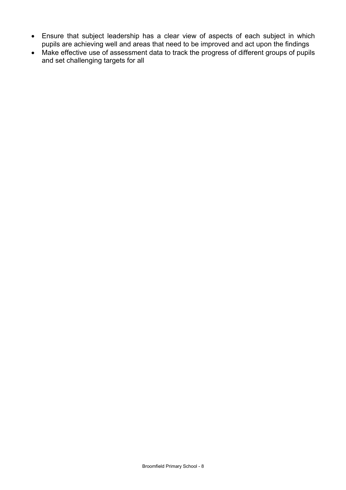- Ensure that subject leadership has a clear view of aspects of each subject in which pupils are achieving well and areas that need to be improved and act upon the findings
- Make effective use of assessment data to track the progress of different groups of pupils and set challenging targets for all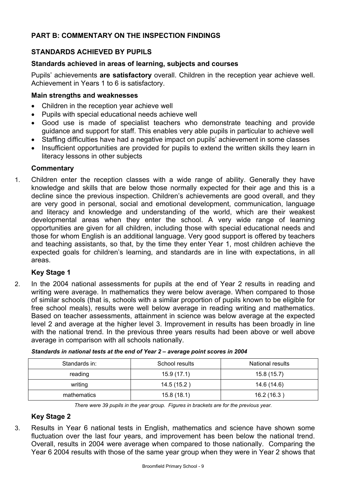# **PART B: COMMENTARY ON THE INSPECTION FINDINGS**

# **STANDARDS ACHIEVED BY PUPILS**

### **Standards achieved in areas of learning, subjects and courses**

Pupils' achievements **are satisfactory** overall. Children in the reception year achieve well. Achievement in Years 1 to 6 is satisfactory.

### **Main strengths and weaknesses**

- Children in the reception year achieve well
- Pupils with special educational needs achieve well
- Good use is made of specialist teachers who demonstrate teaching and provide guidance and support for staff. This enables very able pupils in particular to achieve well
- Staffing difficulties have had a negative impact on pupils' achievement in some classes
- Insufficient opportunities are provided for pupils to extend the written skills they learn in literacy lessons in other subjects

## **Commentary**

1. Children enter the reception classes with a wide range of ability. Generally they have knowledge and skills that are below those normally expected for their age and this is a decline since the previous inspection. Children's achievements are good overall, and they are very good in personal, social and emotional development, communication, language and literacy and knowledge and understanding of the world, which are their weakest developmental areas when they enter the school. A very wide range of learning opportunities are given for all children, including those with special educational needs and those for whom English is an additional language. Very good support is offered by teachers and teaching assistants, so that, by the time they enter Year 1, most children achieve the expected goals for children's learning, and standards are in line with expectations, in all areas.

# **Key Stage 1**

2. In the 2004 national assessments for pupils at the end of Year 2 results in reading and writing were average. In mathematics they were below average. When compared to those of similar schools (that is, schools with a similar proportion of pupils known to be eligible for free school meals), results were well below average in reading writing and mathematics. Based on teacher assessments, attainment in science was below average at the expected level 2 and average at the higher level 3. Improvement in results has been broadly in line with the national trend. In the previous three years results had been above or well above average in comparison with all schools nationally.

| Standards in: | School results | National results |
|---------------|----------------|------------------|
| reading       | 15.9(17.1)     | 15.8(15.7)       |
| writing       | 14.5 (15.2)    | 14.6 (14.6)      |
| mathematics   | 15.8(18.1)     | 16.2 (16.3)      |

*Standards in national tests at the end of Year 2 – average point scores in 2004* 

*There were 39 pupils in the year group. Figures in brackets are for the previous year.* 

# **Key Stage 2**

3. Results in Year 6 national tests in English, mathematics and science have shown some fluctuation over the last four years, and improvement has been below the national trend. Overall, results in 2004 were average when compared to those nationally. Comparing the Year 6 2004 results with those of the same year group when they were in Year 2 shows that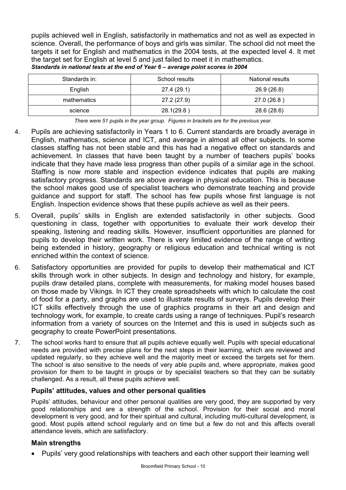pupils achieved well in English, satisfactorily in mathematics and not as well as expected in science. Overall, the performance of boys and girls was similar. The school did not meet the targets it set for English and mathematics in the 2004 tests, at the expected level 4. It met the target set for English at level 5 and just failed to meet it in mathematics. *Standards in national tests at the end of Year 6 – average point scores in 2004* 

| Standards in: | School results | National results |
|---------------|----------------|------------------|
| English       | 27.4 (29.1)    | 26.9 (26.8)      |
| mathematics   | 27.2 (27.9)    | 27.0 (26.8)      |
| science       | 28.1(29.8)     | 28.6 (28.6)      |

*There were 51 pupils in the year group. Figures in brackets are for the previous year.* 

- 4. Pupils are achieving satisfactorily in Years 1 to 6. Current standards are broadly average in English, mathematics, science and ICT, and average in almost all other subjects. In some classes staffing has not been stable and this has had a negative effect on standards and achievement. In classes that have been taught by a number of teachers pupils' books indicate that they have made less progress than other pupils of a similar age in the school. Staffing is now more stable and inspection evidence indicates that pupils are making satisfactory progress. Standards are above average in physical education. This is because the school makes good use of specialist teachers who demonstrate teaching and provide guidance and support for staff. The school has few pupils whose first language is not English. Inspection evidence shows that these pupils achieve as well as their peers.
- 5. Overall, pupils' skills in English are extended satisfactorily in other subjects. Good questioning in class, together with opportunities to evaluate their work develop their speaking, listening and reading skills. However, insufficient opportunities are planned for pupils to develop their written work. There is very limited evidence of the range of writing being extended in history, geography or religious education and technical writing is not enriched within the context of science.
- 6. Satisfactory opportunities are provided for pupils to develop their mathematical and ICT skills through work in other subjects. In design and technology and history, for example, pupils draw detailed plans, complete with measurements, for making model houses based on those made by Vikings. In ICT they create spreadsheets with which to calculate the cost of food for a party, and graphs are used to illustrate results of surveys. Pupils develop their ICT skills effectively through the use of graphics programs in their art and design and technology work, for example, to create cards using a range of techniques. Pupil's research information from a variety of sources on the Internet and this is used in subjects such as geography to create PowerPoint presentations.
- 7. The school works hard to ensure that all pupils achieve equally well. Pupils with special educational needs are provided with precise plans for the next steps in their learning, which are reviewed and updated regularly, so they achieve well and the majority meet or exceed the targets set for them. The school is also sensitive to the needs of very able pupils and, where appropriate, makes good provision for them to be taught in groups or by specialist teachers so that they can be suitably challenged. As a result, all these pupils achieve well.

# **Pupils' attitudes, values and other personal qualities**

Pupils' attitudes, behaviour and other personal qualities are very good, they are supported by very good relationships and are a strength of the school. Provision for their social and moral development is very good, and for their spiritual and cultural, including multi-cultural development, is good. Most pupils attend school regularly and on time but a few do not and this affects overall attendance levels, which are satisfactory.

### **Main strengths**

• Pupils' very good relationships with teachers and each other support their learning well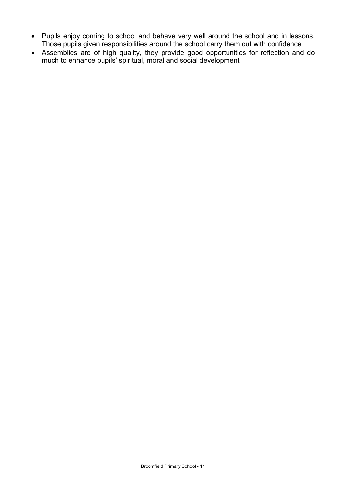- Pupils enjoy coming to school and behave very well around the school and in lessons. Those pupils given responsibilities around the school carry them out with confidence
- Assemblies are of high quality, they provide good opportunities for reflection and do much to enhance pupils' spiritual, moral and social development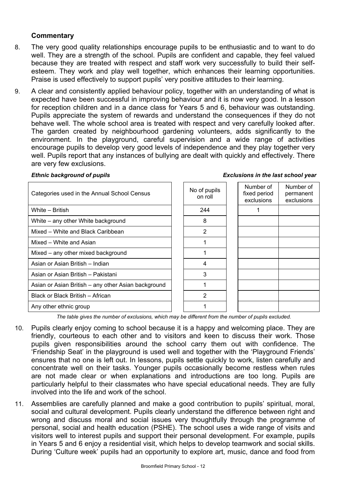### **Commentary**

- 8. The very good quality relationships encourage pupils to be enthusiastic and to want to do well. They are a strength of the school. Pupils are confident and capable, they feel valued because they are treated with respect and staff work very successfully to build their selfesteem. They work and play well together, which enhances their learning opportunities. Praise is used effectively to support pupils' very positive attitudes to their learning.
- 9. A clear and consistently applied behaviour policy, together with an understanding of what is expected have been successful in improving behaviour and it is now very good. In a lesson for reception children and in a dance class for Years 5 and 6, behaviour was outstanding. Pupils appreciate the system of rewards and understand the consequences if they do not behave well. The whole school area is treated with respect and very carefully looked after. The garden created by neighbourhood gardening volunteers, adds significantly to the environment. In the playground, careful supervision and a wide range of activities encourage pupils to develop very good levels of independence and they play together very well. Pupils report that any instances of bullying are dealt with quickly and effectively. There are very few exclusions.

#### *Ethnic background of pupils*

|  |  | <b>Exclusions in the last school year</b> |  |
|--|--|-------------------------------------------|--|
|--|--|-------------------------------------------|--|

| Categories used in the Annual School Census         | No of pupils<br>on roll | Number of<br>fixed period<br>exclusions | Number of<br>permanent<br>exclusions |
|-----------------------------------------------------|-------------------------|-----------------------------------------|--------------------------------------|
| White - British                                     | 244                     |                                         |                                      |
| White – any other White background                  | 8                       |                                         |                                      |
| Mixed – White and Black Caribbean                   | 2                       |                                         |                                      |
| Mixed – White and Asian                             |                         |                                         |                                      |
| Mixed – any other mixed background                  |                         |                                         |                                      |
| Asian or Asian British – Indian                     | 4                       |                                         |                                      |
| Asian or Asian British - Pakistani                  | 3                       |                                         |                                      |
| Asian or Asian British – any other Asian background |                         |                                         |                                      |
| Black or Black British - African                    | $\overline{2}$          |                                         |                                      |
| Any other ethnic group                              |                         |                                         |                                      |

*The table gives the number of exclusions, which may be different from the number of pupils excluded.*

- 10. Pupils clearly enjoy coming to school because it is a happy and welcoming place. They are friendly, courteous to each other and to visitors and keen to discuss their work. Those pupils given responsibilities around the school carry them out with confidence. The 'Friendship Seat' in the playground is used well and together with the 'Playground Friends' ensures that no one is left out. In lessons, pupils settle quickly to work, listen carefully and concentrate well on their tasks. Younger pupils occasionally become restless when rules are not made clear or when explanations and introductions are too long. Pupils are particularly helpful to their classmates who have special educational needs. They are fully involved into the life and work of the school.
- 11. Assemblies are carefully planned and make a good contribution to pupils' spiritual, moral, social and cultural development. Pupils clearly understand the difference between right and wrong and discuss moral and social issues very thoughtfully through the programme of personal, social and health education (PSHE). The school uses a wide range of visits and visitors well to interest pupils and support their personal development. For example, pupils in Years 5 and 6 enjoy a residential visit, which helps to develop teamwork and social skills. During 'Culture week' pupils had an opportunity to explore art, music, dance and food from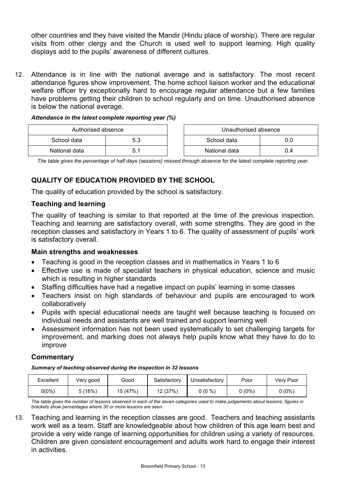other countries and they have visited the Mandir (Hindu place of worship). There are regular visits from other clergy and the Church is used well to support learning. High quality displays add to the pupils' awareness of different cultures.

12. Attendance is in line with the national average and is satisfactory. The most recent attendance figures show improvement. The home school liaison worker and the educational welfare officer try exceptionally hard to encourage regular attendance but a few families have problems getting their children to school regularly and on time. Unauthorised absence is below the national average.

| Attendance in the latest complete reporting year (%) |  |  |  |  |
|------------------------------------------------------|--|--|--|--|
|                                                      |  |  |  |  |

| Authorised absence |      |  | Unauthorised absence |     |
|--------------------|------|--|----------------------|-----|
| School data        | 5.3  |  | School data          | 0.O |
| National data      | b. 1 |  | National data        | J.4 |

*The table gives the percentage of half days (sessions) missed through absence for the latest complete reporting year.*

# **QUALITY OF EDUCATION PROVIDED BY THE SCHOOL**

The quality of education provided by the school is satisfactory.

### **Teaching and learning**

The quality of teaching is similar to that reported at the time of the previous inspection. Teaching and learning are satisfactory overall, with some strengths. They are good in the reception classes and satisfactory in Years 1 to 6. The quality of assessment of pupils' work is satisfactory overall.

### **Main strengths and weaknesses**

- Teaching is good in the reception classes and in mathematics in Years 1 to 6
- Effective use is made of specialist teachers in physical education, science and music which is resulting in higher standards
- Staffing difficulties have had a negative impact on pupils' learning in some classes
- Teachers insist on high standards of behaviour and pupils are encouraged to work collaboratively
- Pupils with special educational needs are taught well because teaching is focused on individual needs and assistants are well trained and support learning well
- Assessment information has not been used systematically to set challenging targets for improvement, and marking does not always help pupils know what they have to do to improve

### **Commentary**

*Summary of teaching observed during the inspection in 32 lessons*

| Excellent | Very good | Good     | Satisfactory | Unsatisfactory | Poor   | Very Poor |
|-----------|-----------|----------|--------------|----------------|--------|-----------|
| 0(0%)     | (16%)     | 15 (47%) | 12 (37%)     | $0(0\% )$      | 0 (0%) | $0(0\%)$  |

*The table gives the number of lessons observed in each of the seven categories used to make judgements about lessons; figures in brackets show percentages where 30 or more lessons are seen.* 

13. Teaching and learning in the reception classes are good. Teachers and teaching assistants work well as a team. Staff are knowledgeable about how children of this age learn best and provide a very wide range of learning opportunities for children using a variety of resources. Children are given consistent encouragement and adults work hard to engage their interest in activities.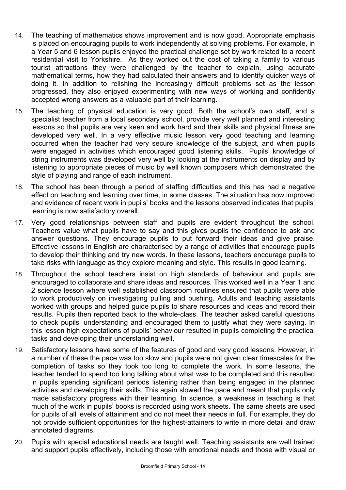- 14. The teaching of mathematics shows improvement and is now good. Appropriate emphasis is placed on encouraging pupils to work independently at solving problems. For example, in a Year 5 and 6 lesson pupils enjoyed the practical challenge set by work related to a recent residential visit to Yorkshire. As they worked out the cost of taking a family to various tourist attractions they were challenged by the teacher to explain, using accurate mathematical terms, how they had calculated their answers and to identify quicker ways of doing it. In addition to relishing the increasingly difficult problems set as the lesson progressed, they also enjoyed experimenting with new ways of working and confidently accepted wrong answers as a valuable part of their learning.
- 15. The teaching of physical education is very good. Both the school's own staff, and a specialist teacher from a local secondary school, provide very well planned and interesting lessons so that pupils are very keen and work hard and their skills and physical fitness are developed very well. In a very effective music lesson very good teaching and learning occurred when the teacher had very secure knowledge of the subject, and when pupils were engaged in activities which encouraged good listening skills. Pupils' knowledge of string instruments was developed very well by looking at the instruments on display and by listening to appropriate pieces of music by well known composers which demonstrated the style of playing and range of each instrument.
- 16. The school has been through a period of staffing difficulties and this has had a negative effect on teaching and learning over time, in some classes. The situation has now improved and evidence of recent work in pupils' books and the lessons observed indicates that pupils' learning is now satisfactory overall.
- 17. Very good relationships between staff and pupils are evident throughout the school. Teachers value what pupils have to say and this gives pupils the confidence to ask and answer questions. They encourage pupils to put forward their ideas and give praise. Effective lessons in English are characterised by a range of activities that encourage pupils to develop their thinking and try new words. In these lessons, teachers encourage pupils to take risks with language as they explore meaning and style. This results in good learning.
- 18. Throughout the school teachers insist on high standards of behaviour and pupils are encouraged to collaborate and share ideas and resources. This worked well in a Year 1 and 2 science lesson where well established classroom routines ensured that pupils were able to work productively on investigating pulling and pushing. Adults and teaching assistants worked with groups and helped guide pupils to share resources and ideas and record their results. Pupils then reported back to the whole-class. The teacher asked careful questions to check pupils' understanding and encouraged them to justify what they were saying. In this lesson high expectations of pupils' behaviour resulted in pupils completing the practical tasks and developing their understanding well.
- 19. Satisfactory lessons have some of the features of good and very good lessons. However, in a number of these the pace was too slow and pupils were not given clear timescales for the completion of tasks so they took too long to complete the work. In some lessons, the teacher tended to spend too long talking about what was to be completed and this resulted in pupils spending significant periods listening rather than being engaged in the planned activities and developing their skills. This again slowed the pace and meant that pupils only made satisfactory progress with their learning. In science, a weakness in teaching is that much of the work in pupils' books is recorded using work sheets. The same sheets are used for pupils of all levels of attainment and do not meet their needs in full. For example, they do not provide sufficient opportunities for the highest-attainers to write in more detail and draw annotated diagrams.
- 20. Pupils with special educational needs are taught well. Teaching assistants are well trained and support pupils effectively, including those with emotional needs and those with visual or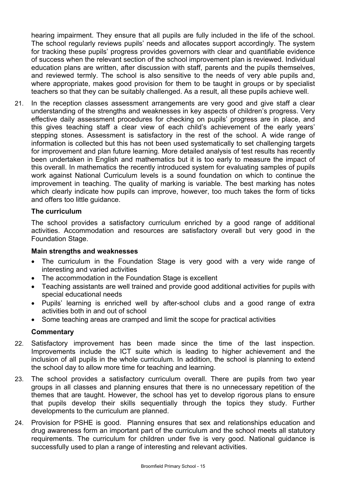hearing impairment. They ensure that all pupils are fully included in the life of the school. The school regularly reviews pupils' needs and allocates support accordingly. The system for tracking these pupils' progress provides governors with clear and quantifiable evidence of success when the relevant section of the school improvement plan is reviewed. Individual education plans are written, after discussion with staff, parents and the pupils themselves, and reviewed termly. The school is also sensitive to the needs of very able pupils and, where appropriate, makes good provision for them to be taught in groups or by specialist teachers so that they can be suitably challenged. As a result, all these pupils achieve well.

21. In the reception classes assessment arrangements are very good and give staff a clear understanding of the strengths and weaknesses in key aspects of children's progress. Very effective daily assessment procedures for checking on pupils' progress are in place, and this gives teaching staff a clear view of each child's achievement of the early years' stepping stones. Assessment is satisfactory in the rest of the school. A wide range of information is collected but this has not been used systematically to set challenging targets for improvement and plan future learning. More detailed analysis of test results has recently been undertaken in English and mathematics but it is too early to measure the impact of this overall. In mathematics the recently introduced system for evaluating samples of pupils work against National Curriculum levels is a sound foundation on which to continue the improvement in teaching. The quality of marking is variable. The best marking has notes which clearly indicate how pupils can improve, however, too much takes the form of ticks and offers too little guidance.

## **The curriculum**

The school provides a satisfactory curriculum enriched by a good range of additional activities. Accommodation and resources are satisfactory overall but very good in the Foundation Stage.

### **Main strengths and weaknesses**

- The curriculum in the Foundation Stage is very good with a very wide range of interesting and varied activities
- The accommodation in the Foundation Stage is excellent
- Teaching assistants are well trained and provide good additional activities for pupils with special educational needs
- Pupils' learning is enriched well by after-school clubs and a good range of extra activities both in and out of school
- Some teaching areas are cramped and limit the scope for practical activities

- 22. Satisfactory improvement has been made since the time of the last inspection. Improvements include the ICT suite which is leading to higher achievement and the inclusion of all pupils in the whole curriculum. In addition, the school is planning to extend the school day to allow more time for teaching and learning.
- 23. The school provides a satisfactory curriculum overall. There are pupils from two year groups in all classes and planning ensures that there is no unnecessary repetition of the themes that are taught. However, the school has yet to develop rigorous plans to ensure that pupils develop their skills sequentially through the topics they study. Further developments to the curriculum are planned.
- 24. Provision for PSHE is good. Planning ensures that sex and relationships education and drug awareness form an important part of the curriculum and the school meets all statutory requirements. The curriculum for children under five is very good. National guidance is successfully used to plan a range of interesting and relevant activities.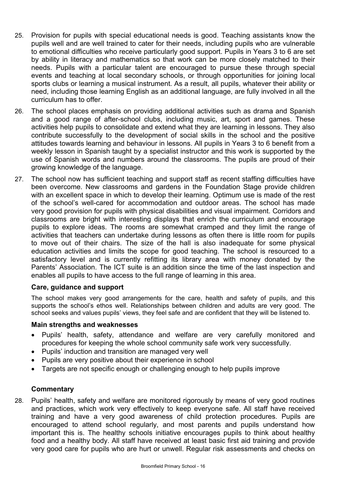- 25. Provision for pupils with special educational needs is good. Teaching assistants know the pupils well and are well trained to cater for their needs, including pupils who are vulnerable to emotional difficulties who receive particularly good support. Pupils in Years 3 to 6 are set by ability in literacy and mathematics so that work can be more closely matched to their needs. Pupils with a particular talent are encouraged to pursue these through special events and teaching at local secondary schools, or through opportunities for joining local sports clubs or learning a musical instrument. As a result, all pupils, whatever their ability or need, including those learning English as an additional language, are fully involved in all the curriculum has to offer.
- 26. The school places emphasis on providing additional activities such as drama and Spanish and a good range of after-school clubs, including music, art, sport and games. These activities help pupils to consolidate and extend what they are learning in lessons. They also contribute successfully to the development of social skills in the school and the positive attitudes towards learning and behaviour in lessons. All pupils in Years 3 to 6 benefit from a weekly lesson in Spanish taught by a specialist instructor and this work is supported by the use of Spanish words and numbers around the classrooms. The pupils are proud of their growing knowledge of the language.
- 27. The school now has sufficient teaching and support staff as recent staffing difficulties have been overcome. New classrooms and gardens in the Foundation Stage provide children with an excellent space in which to develop their learning. Optimum use is made of the rest of the school's well-cared for accommodation and outdoor areas. The school has made very good provision for pupils with physical disabilities and visual impairment. Corridors and classrooms are bright with interesting displays that enrich the curriculum and encourage pupils to explore ideas. The rooms are somewhat cramped and they limit the range of activities that teachers can undertake during lessons as often there is little room for pupils to move out of their chairs. The size of the hall is also inadequate for some physical education activities and limits the scope for good teaching. The school is resourced to a satisfactory level and is currently refitting its library area with money donated by the Parents' Association. The ICT suite is an addition since the time of the last inspection and enables all pupils to have access to the full range of learning in this area.

### **Care, guidance and support**

The school makes very good arrangements for the care, health and safety of pupils, and this supports the school's ethos well. Relationships between children and adults are very good. The school seeks and values pupils' views, they feel safe and are confident that they will be listened to.

### **Main strengths and weaknesses**

- Pupils' health, safety, attendance and welfare are very carefully monitored and procedures for keeping the whole school community safe work very successfully.
- Pupils' induction and transition are managed very well
- Pupils are very positive about their experience in school
- Targets are not specific enough or challenging enough to help pupils improve

### **Commentary**

28. Pupils' health, safety and welfare are monitored rigorously by means of very good routines and practices, which work very effectively to keep everyone safe. All staff have received training and have a very good awareness of child protection procedures. Pupils are encouraged to attend school regularly, and most parents and pupils understand how important this is. The healthy schools initiative encourages pupils to think about healthy food and a healthy body. All staff have received at least basic first aid training and provide very good care for pupils who are hurt or unwell. Regular risk assessments and checks on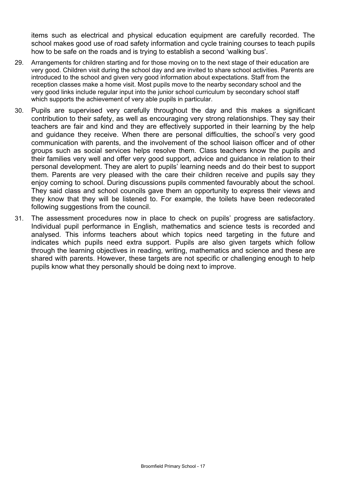items such as electrical and physical education equipment are carefully recorded. The school makes good use of road safety information and cycle training courses to teach pupils how to be safe on the roads and is trying to establish a second 'walking bus'.

- 29. Arrangements for children starting and for those moving on to the next stage of their education are very good. Children visit during the school day and are invited to share school activities. Parents are introduced to the school and given very good information about expectations. Staff from the reception classes make a home visit. Most pupils move to the nearby secondary school and the very good links include regular input into the junior school curriculum by secondary school staff which supports the achievement of very able pupils in particular.
- 30. Pupils are supervised very carefully throughout the day and this makes a significant contribution to their safety, as well as encouraging very strong relationships. They say their teachers are fair and kind and they are effectively supported in their learning by the help and guidance they receive. When there are personal difficulties, the school's very good communication with parents, and the involvement of the school liaison officer and of other groups such as social services helps resolve them. Class teachers know the pupils and their families very well and offer very good support, advice and guidance in relation to their personal development. They are alert to pupils' learning needs and do their best to support them. Parents are very pleased with the care their children receive and pupils say they enjoy coming to school. During discussions pupils commented favourably about the school. They said class and school councils gave them an opportunity to express their views and they know that they will be listened to. For example, the toilets have been redecorated following suggestions from the council.
- 31. The assessment procedures now in place to check on pupils' progress are satisfactory. Individual pupil performance in English, mathematics and science tests is recorded and analysed. This informs teachers about which topics need targeting in the future and indicates which pupils need extra support. Pupils are also given targets which follow through the learning objectives in reading, writing, mathematics and science and these are shared with parents. However, these targets are not specific or challenging enough to help pupils know what they personally should be doing next to improve.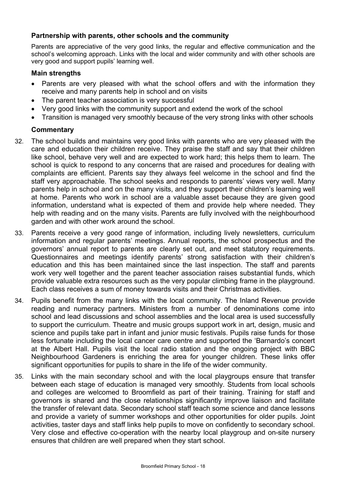## **Partnership with parents, other schools and the community**

Parents are appreciative of the very good links, the regular and effective communication and the school's welcoming approach. Links with the local and wider community and with other schools are very good and support pupils' learning well.

#### **Main strengths**

- Parents are very pleased with what the school offers and with the information they receive and many parents help in school and on visits
- The parent teacher association is very successful
- Very good links with the community support and extend the work of the school
- Transition is managed very smoothly because of the very strong links with other schools

- 32. The school builds and maintains very good links with parents who are very pleased with the care and education their children receive. They praise the staff and say that their children like school, behave very well and are expected to work hard; this helps them to learn. The school is quick to respond to any concerns that are raised and procedures for dealing with complaints are efficient. Parents say they always feel welcome in the school and find the staff very approachable. The school seeks and responds to parents' views very well. Many parents help in school and on the many visits, and they support their children's learning well at home. Parents who work in school are a valuable asset because they are given good information, understand what is expected of them and provide help where needed. They help with reading and on the many visits. Parents are fully involved with the neighbourhood garden and with other work around the school.
- 33. Parents receive a very good range of information, including lively newsletters, curriculum information and regular parents' meetings. Annual reports, the school prospectus and the governors' annual report to parents are clearly set out, and meet statutory requirements. Questionnaires and meetings identify parents' strong satisfaction with their children's education and this has been maintained since the last inspection. The staff and parents work very well together and the parent teacher association raises substantial funds, which provide valuable extra resources such as the very popular climbing frame in the playground. Each class receives a sum of money towards visits and their Christmas activities.
- 34. Pupils benefit from the many links with the local community. The Inland Revenue provide reading and numeracy partners. Ministers from a number of denominations come into school and lead discussions and school assemblies and the local area is used successfully to support the curriculum. Theatre and music groups support work in art, design, music and science and pupils take part in infant and junior music festivals. Pupils raise funds for those less fortunate including the local cancer care centre and supported the 'Barnardo's concert at the Albert Hall. Pupils visit the local radio station and the ongoing project with BBC Neighbourhood Gardeners is enriching the area for younger children. These links offer significant opportunities for pupils to share in the life of the wider community.
- 35. Links with the main secondary school and with the local playgroups ensure that transfer between each stage of education is managed very smoothly. Students from local schools and colleges are welcomed to Broomfield as part of their training. Training for staff and governors is shared and the close relationships significantly improve liaison and facilitate the transfer of relevant data. Secondary school staff teach some science and dance lessons and provide a variety of summer workshops and other opportunities for older pupils. Joint activities, taster days and staff links help pupils to move on confidently to secondary school. Very close and effective co-operation with the nearby local playgroup and on-site nursery ensures that children are well prepared when they start school.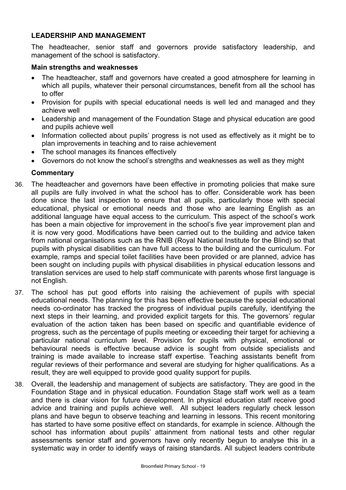## **LEADERSHIP AND MANAGEMENT**

The headteacher, senior staff and governors provide satisfactory leadership, and management of the school is satisfactory.

#### **Main strengths and weaknesses**

- The headteacher, staff and governors have created a good atmosphere for learning in which all pupils, whatever their personal circumstances, benefit from all the school has to offer
- Provision for pupils with special educational needs is well led and managed and they achieve well
- Leadership and management of the Foundation Stage and physical education are good and pupils achieve well
- Information collected about pupils' progress is not used as effectively as it might be to plan improvements in teaching and to raise achievement
- The school manages its finances effectively
- Governors do not know the school's strengths and weaknesses as well as they might

- 36. The headteacher and governors have been effective in promoting policies that make sure all pupils are fully involved in what the school has to offer. Considerable work has been done since the last inspection to ensure that all pupils, particularly those with special educational, physical or emotional needs and those who are learning English as an additional language have equal access to the curriculum. This aspect of the school's work has been a main objective for improvement in the school's five year improvement plan and it is now very good. Modifications have been carried out to the building and advice taken from national organisations such as the RNIB (Royal National Institute for the Blind) so that pupils with physical disabilities can have full access to the building and the curriculum. For example, ramps and special toilet facilities have been provided or are planned, advice has been sought on including pupils with physical disabilities in physical education lessons and translation services are used to help staff communicate with parents whose first language is not English.
- 37. The school has put good efforts into raising the achievement of pupils with special educational needs. The planning for this has been effective because the special educational needs co-ordinator has tracked the progress of individual pupils carefully, identifying the next steps in their learning, and provided explicit targets for this. The governors' regular evaluation of the action taken has been based on specific and quantifiable evidence of progress, such as the percentage of pupils meeting or exceeding their target for achieving a particular national curriculum level. Provision for pupils with physical, emotional or behavioural needs is effective because advice is sought from outside specialists and training is made available to increase staff expertise. Teaching assistants benefit from regular reviews of their performance and several are studying for higher qualifications. As a result, they are well equipped to provide good quality support for pupils.
- 38. Overall, the leadership and management of subjects are satisfactory. They are good in the Foundation Stage and in physical education. Foundation Stage staff work well as a team and there is clear vision for future development. In physical education staff receive good advice and training and pupils achieve well. All subject leaders regularly check lesson plans and have begun to observe teaching and learning in lessons. This recent monitoring has started to have some positive effect on standards, for example in science. Although the school has information about pupils' attainment from national tests and other regular assessments senior staff and governors have only recently begun to analyse this in a systematic way in order to identify ways of raising standards. All subject leaders contribute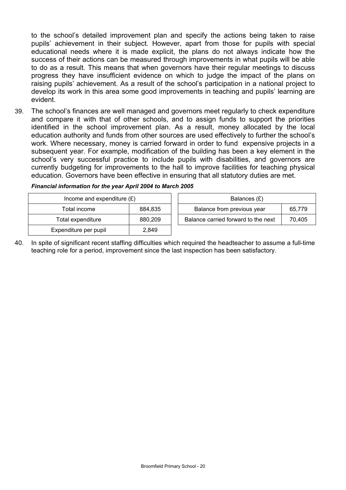to the school's detailed improvement plan and specify the actions being taken to raise pupils' achievement in their subject. However, apart from those for pupils with special educational needs where it is made explicit, the plans do not always indicate how the success of their actions can be measured through improvements in what pupils will be able to do as a result. This means that when governors have their regular meetings to discuss progress they have insufficient evidence on which to judge the impact of the plans on raising pupils' achievement. As a result of the school's participation in a national project to develop its work in this area some good improvements in teaching and pupils' learning are evident.

39. The school's finances are well managed and governors meet regularly to check expenditure and compare it with that of other schools, and to assign funds to support the priorities identified in the school improvement plan. As a result, money allocated by the local education authority and funds from other sources are used effectively to further the school's work. Where necessary, money is carried forward in order to fund expensive projects in a subsequent year. For example, modification of the building has been a key element in the school's very successful practice to include pupils with disabilities, and governors are currently budgeting for improvements to the hall to improve facilities for teaching physical education. Governors have been effective in ensuring that all statutory duties are met.

| Income and expenditure $(E)$ |         | Balances (£)                        |        |
|------------------------------|---------|-------------------------------------|--------|
| Total income                 | 884.835 | Balance from previous year          | 65.779 |
| Total expenditure            | 880,209 | Balance carried forward to the next | 70.405 |
| Expenditure per pupil        | 2,849   |                                     |        |

| Financial information for the year April 2004 to March 2005 |  |  |  |
|-------------------------------------------------------------|--|--|--|
|                                                             |  |  |  |

40. In spite of significant recent staffing difficulties which required the headteacher to assume a full-time teaching role for a period, improvement since the last inspection has been satisfactory.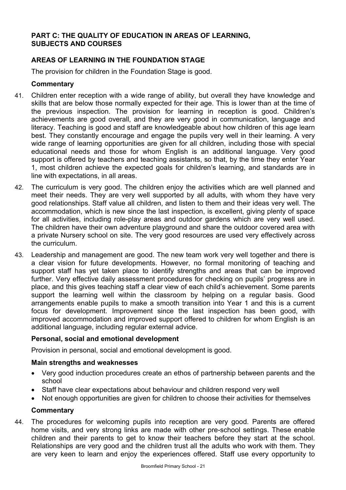## **PART C: THE QUALITY OF EDUCATION IN AREAS OF LEARNING, SUBJECTS AND COURSES**

# **AREAS OF LEARNING IN THE FOUNDATION STAGE**

The provision for children in the Foundation Stage is good.

### **Commentary**

- 41. Children enter reception with a wide range of ability, but overall they have knowledge and skills that are below those normally expected for their age. This is lower than at the time of the previous inspection. The provision for learning in reception is good. Children's achievements are good overall, and they are very good in communication, language and literacy. Teaching is good and staff are knowledgeable about how children of this age learn best. They constantly encourage and engage the pupils very well in their learning. A very wide range of learning opportunities are given for all children, including those with special educational needs and those for whom English is an additional language. Very good support is offered by teachers and teaching assistants, so that, by the time they enter Year 1, most children achieve the expected goals for children's learning, and standards are in line with expectations, in all areas.
- 42. The curriculum is very good. The children enjoy the activities which are well planned and meet their needs. They are very well supported by all adults, with whom they have very good relationships. Staff value all children, and listen to them and their ideas very well. The accommodation, which is new since the last inspection, is excellent, giving plenty of space for all activities, including role-play areas and outdoor gardens which are very well used. The children have their own adventure playground and share the outdoor covered area with a private Nursery school on site. The very good resources are used very effectively across the curriculum.
- 43. Leadership and management are good. The new team work very well together and there is a clear vision for future developments. However, no formal monitoring of teaching and support staff has yet taken place to identify strengths and areas that can be improved further. Very effective daily assessment procedures for checking on pupils' progress are in place, and this gives teaching staff a clear view of each child's achievement. Some parents support the learning well within the classroom by helping on a regular basis. Good arrangements enable pupils to make a smooth transition into Year 1 and this is a current focus for development. Improvement since the last inspection has been good, with improved accommodation and improved support offered to children for whom English is an additional language, including regular external advice.

### **Personal, social and emotional development**

Provision in personal, social and emotional development is good.

### **Main strengths and weaknesses**

- Very good induction procedures create an ethos of partnership between parents and the school
- Staff have clear expectations about behaviour and children respond very well
- Not enough opportunities are given for children to choose their activities for themselves

### **Commentary**

44. The procedures for welcoming pupils into reception are very good. Parents are offered home visits, and very strong links are made with other pre-school settings. These enable children and their parents to get to know their teachers before they start at the school. Relationships are very good and the children trust all the adults who work with them. They are very keen to learn and enjoy the experiences offered. Staff use every opportunity to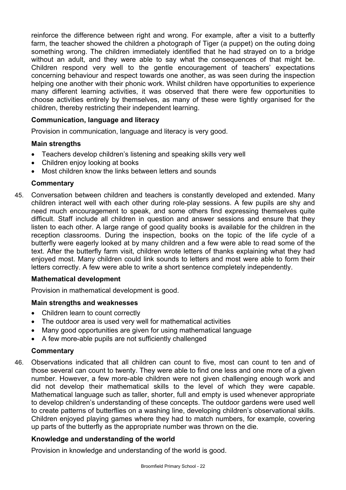reinforce the difference between right and wrong. For example, after a visit to a butterfly farm, the teacher showed the children a photograph of Tiger (a puppet) on the outing doing something wrong. The children immediately identified that he had strayed on to a bridge without an adult, and they were able to say what the consequences of that might be. Children respond very well to the gentle encouragement of teachers' expectations concerning behaviour and respect towards one another, as was seen during the inspection helping one another with their phonic work. Whilst children have opportunities to experience many different learning activities, it was observed that there were few opportunities to choose activities entirely by themselves, as many of these were tightly organised for the children, thereby restricting their independent learning.

## **Communication, language and literacy**

Provision in communication, language and literacy is very good.

### **Main strengths**

- Teachers develop children's listening and speaking skills very well
- Children enjoy looking at books
- Most children know the links between letters and sounds

#### **Commentary**

45. Conversation between children and teachers is constantly developed and extended. Many children interact well with each other during role-play sessions. A few pupils are shy and need much encouragement to speak, and some others find expressing themselves quite difficult. Staff include all children in question and answer sessions and ensure that they listen to each other. A large range of good quality books is available for the children in the reception classrooms. During the inspection, books on the topic of the life cycle of a butterfly were eagerly looked at by many children and a few were able to read some of the text. After the butterfly farm visit, children wrote letters of thanks explaining what they had enjoyed most. Many children could link sounds to letters and most were able to form their letters correctly. A few were able to write a short sentence completely independently.

### **Mathematical development**

Provision in mathematical development is good.

### **Main strengths and weaknesses**

- Children learn to count correctly
- The outdoor area is used very well for mathematical activities
- Many good opportunities are given for using mathematical language
- A few more-able pupils are not sufficiently challenged

### **Commentary**

46. Observations indicated that all children can count to five, most can count to ten and of those several can count to twenty. They were able to find one less and one more of a given number. However, a few more-able children were not given challenging enough work and did not develop their mathematical skills to the level of which they were capable. Mathematical language such as taller, shorter, full and empty is used whenever appropriate to develop children's understanding of these concepts. The outdoor gardens were used well to create patterns of butterflies on a washing line, developing children's observational skills. Children enjoyed playing games where they had to match numbers, for example, covering up parts of the butterfly as the appropriate number was thrown on the die.

### **Knowledge and understanding of the world**

Provision in knowledge and understanding of the world is good.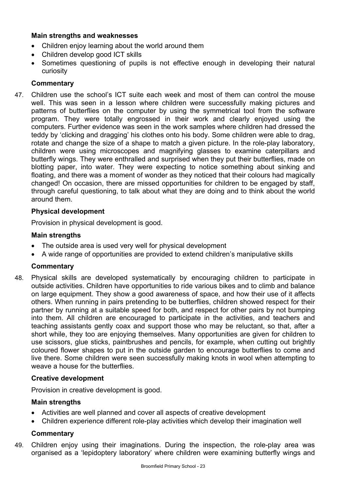## **Main strengths and weaknesses**

- Children enjoy learning about the world around them
- Children develop good ICT skills
- Sometimes questioning of pupils is not effective enough in developing their natural curiosity

# **Commentary**

47. Children use the school's ICT suite each week and most of them can control the mouse well. This was seen in a lesson where children were successfully making pictures and patterns of butterflies on the computer by using the symmetrical tool from the software program. They were totally engrossed in their work and clearly enjoyed using the computers. Further evidence was seen in the work samples where children had dressed the teddy by 'clicking and dragging' his clothes onto his body. Some children were able to drag, rotate and change the size of a shape to match a given picture. In the role-play laboratory, children were using microscopes and magnifying glasses to examine caterpillars and butterfly wings. They were enthralled and surprised when they put their butterflies, made on blotting paper, into water. They were expecting to notice something about sinking and floating, and there was a moment of wonder as they noticed that their colours had magically changed! On occasion, there are missed opportunities for children to be engaged by staff, through careful questioning, to talk about what they are doing and to think about the world around them.

## **Physical development**

Provision in physical development is good.

## **Main strengths**

- The outside area is used very well for physical development
- A wide range of opportunities are provided to extend children's manipulative skills

### **Commentary**

48. Physical skills are developed systematically by encouraging children to participate in outside activities. Children have opportunities to ride various bikes and to climb and balance on large equipment. They show a good awareness of space, and how their use of it affects others. When running in pairs pretending to be butterflies, children showed respect for their partner by running at a suitable speed for both, and respect for other pairs by not bumping into them. All children are encouraged to participate in the activities, and teachers and teaching assistants gently coax and support those who may be reluctant, so that, after a short while, they too are enjoying themselves. Many opportunities are given for children to use scissors, glue sticks, paintbrushes and pencils, for example, when cutting out brightly coloured flower shapes to put in the outside garden to encourage butterflies to come and live there. Some children were seen successfully making knots in wool when attempting to weave a house for the butterflies.

### **Creative development**

Provision in creative development is good.

# **Main strengths**

- Activities are well planned and cover all aspects of creative development
- Children experience different role-play activities which develop their imagination well

# **Commentary**

49. Children enjoy using their imaginations. During the inspection, the role-play area was organised as a 'lepidoptery laboratory' where children were examining butterfly wings and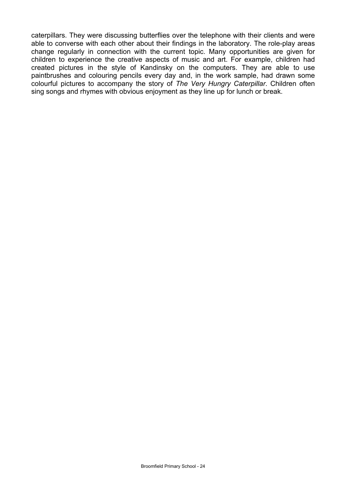caterpillars. They were discussing butterflies over the telephone with their clients and were able to converse with each other about their findings in the laboratory. The role-play areas change regularly in connection with the current topic. Many opportunities are given for children to experience the creative aspects of music and art. For example, children had created pictures in the style of Kandinsky on the computers. They are able to use paintbrushes and colouring pencils every day and, in the work sample, had drawn some colourful pictures to accompany the story of *The Very Hungry Caterpillar*. Children often sing songs and rhymes with obvious enjoyment as they line up for lunch or break.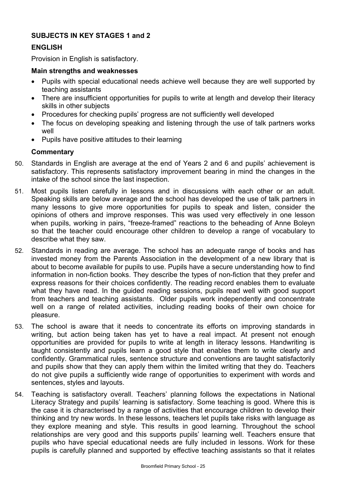## **SUBJECTS IN KEY STAGES 1 and 2**

## **ENGLISH**

Provision in English is satisfactory.

#### **Main strengths and weaknesses**

- Pupils with special educational needs achieve well because they are well supported by teaching assistants
- There are insufficient opportunities for pupils to write at length and develop their literacy skills in other subjects
- Procedures for checking pupils' progress are not sufficiently well developed
- The focus on developing speaking and listening through the use of talk partners works well
- Pupils have positive attitudes to their learning

- 50. Standards in English are average at the end of Years 2 and 6 and pupils' achievement is satisfactory. This represents satisfactory improvement bearing in mind the changes in the intake of the school since the last inspection.
- 51. Most pupils listen carefully in lessons and in discussions with each other or an adult. Speaking skills are below average and the school has developed the use of talk partners in many lessons to give more opportunities for pupils to speak and listen, consider the opinions of others and improve responses. This was used very effectively in one lesson when pupils, working in pairs, "freeze-framed" reactions to the beheading of Anne Boleyn so that the teacher could encourage other children to develop a range of vocabulary to describe what they saw.
- 52. Standards in reading are average. The school has an adequate range of books and has invested money from the Parents Association in the development of a new library that is about to become available for pupils to use. Pupils have a secure understanding how to find information in non-fiction books. They describe the types of non-fiction that they prefer and express reasons for their choices confidently. The reading record enables them to evaluate what they have read. In the guided reading sessions, pupils read well with good support from teachers and teaching assistants. Older pupils work independently and concentrate well on a range of related activities, including reading books of their own choice for pleasure.
- 53. The school is aware that it needs to concentrate its efforts on improving standards in writing, but action being taken has yet to have a real impact. At present not enough opportunities are provided for pupils to write at length in literacy lessons. Handwriting is taught consistently and pupils learn a good style that enables them to write clearly and confidently. Grammatical rules, sentence structure and conventions are taught satisfactorily and pupils show that they can apply them within the limited writing that they do. Teachers do not give pupils a sufficiently wide range of opportunities to experiment with words and sentences, styles and layouts.
- 54. Teaching is satisfactory overall. Teachers' planning follows the expectations in National Literacy Strategy and pupils' learning is satisfactory. Some teaching is good. Where this is the case it is characterised by a range of activities that encourage children to develop their thinking and try new words. In these lessons, teachers let pupils take risks with language as they explore meaning and style. This results in good learning. Throughout the school relationships are very good and this supports pupils' learning well. Teachers ensure that pupils who have special educational needs are fully included in lessons. Work for these pupils is carefully planned and supported by effective teaching assistants so that it relates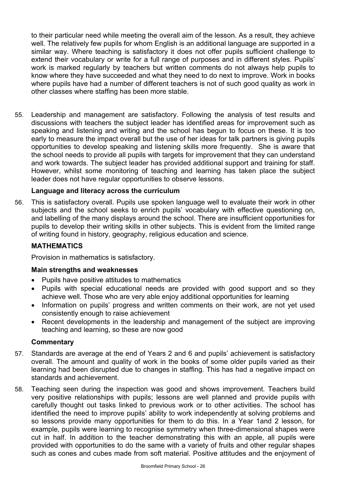to their particular need while meeting the overall aim of the lesson. As a result, they achieve well. The relatively few pupils for whom English is an additional language are supported in a similar way. Where teaching is satisfactory it does not offer pupils sufficient challenge to extend their vocabulary or write for a full range of purposes and in different styles. Pupils' work is marked regularly by teachers but written comments do not always help pupils to know where they have succeeded and what they need to do next to improve. Work in books where pupils have had a number of different teachers is not of such good quality as work in other classes where staffing has been more stable.

55. Leadership and management are satisfactory. Following the analysis of test results and discussions with teachers the subject leader has identified areas for improvement such as speaking and listening and writing and the school has begun to focus on these. It is too early to measure the impact overall but the use of her ideas for talk partners is giving pupils opportunities to develop speaking and listening skills more frequently. She is aware that the school needs to provide all pupils with targets for improvement that they can understand and work towards. The subject leader has provided additional support and training for staff. However, whilst some monitoring of teaching and learning has taken place the subject leader does not have regular opportunities to observe lessons.

## **Language and literacy across the curriculum**

56. This is satisfactory overall. Pupils use spoken language well to evaluate their work in other subjects and the school seeks to enrich pupils' vocabulary with effective questioning on, and labelling of the many displays around the school. There are insufficient opportunities for pupils to develop their writing skills in other subjects. This is evident from the limited range of writing found in history, geography, religious education and science.

### **MATHEMATICS**

Provision in mathematics is satisfactory.

### **Main strengths and weaknesses**

- Pupils have positive attitudes to mathematics
- Pupils with special educational needs are provided with good support and so they achieve well. Those who are very able enjoy additional opportunities for learning
- Information on pupils' progress and written comments on their work, are not yet used consistently enough to raise achievement
- Recent developments in the leadership and management of the subject are improving teaching and learning, so these are now good

- 57. Standards are average at the end of Years 2 and 6 and pupils' achievement is satisfactory overall. The amount and quality of work in the books of some older pupils varied as their learning had been disrupted due to changes in staffing. This has had a negative impact on standards and achievement.
- 58. Teaching seen during the inspection was good and shows improvement. Teachers build very positive relationships with pupils; lessons are well planned and provide pupils with carefully thought out tasks linked to previous work or to other activities. The school has identified the need to improve pupils' ability to work independently at solving problems and so lessons provide many opportunities for them to do this. In a Year 1and 2 lesson, for example, pupils were learning to recognise symmetry when three-dimensional shapes were cut in half. In addition to the teacher demonstrating this with an apple, all pupils were provided with opportunities to do the same with a variety of fruits and other regular shapes such as cones and cubes made from soft material. Positive attitudes and the enjoyment of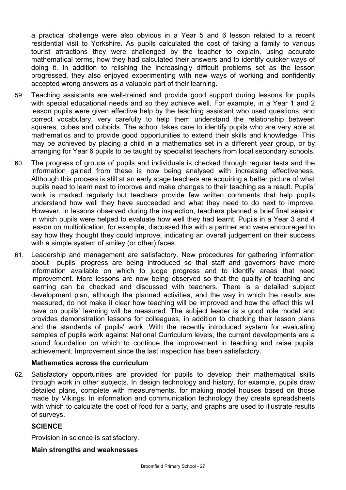a practical challenge were also obvious in a Year 5 and 6 lesson related to a recent residential visit to Yorkshire. As pupils calculated the cost of taking a family to various tourist attractions they were challenged by the teacher to explain, using accurate mathematical terms, how they had calculated their answers and to identify quicker ways of doing it. In addition to relishing the increasingly difficult problems set as the lesson progressed, they also enjoyed experimenting with new ways of working and confidently accepted wrong answers as a valuable part of their learning.

- 59. Teaching assistants are well-trained and provide good support during lessons for pupils with special educational needs and so they achieve well. For example, in a Year 1 and 2 lesson pupils were given effective help by the teaching assistant who used questions, and correct vocabulary, very carefully to help them understand the relationship between squares, cubes and cuboids. The school takes care to identify pupils who are very able at mathematics and to provide good opportunities to extend their skills and knowledge. This may be achieved by placing a child in a mathematics set in a different year group, or by arranging for Year 6 pupils to be taught by specialist teachers from local secondary schools.
- 60. The progress of groups of pupils and individuals is checked through regular tests and the information gained from these is now being analysed with increasing effectiveness. Although this process is still at an early stage teachers are acquiring a better picture of what pupils need to learn next to improve and make changes to their teaching as a result. Pupils' work is marked regularly but teachers provide few written comments that help pupils understand how well they have succeeded and what they need to do next to improve. However, in lessons observed during the inspection, teachers planned a brief final session in which pupils were helped to evaluate how well they had learnt. Pupils in a Year 3 and 4 lesson on multiplication, for example, discussed this with a partner and were encouraged to say how they thought they could improve, indicating an overall judgement on their success with a simple system of smiley (or other) faces.
- 61. Leadership and management are satisfactory. New procedures for gathering information about pupils' progress are being introduced so that staff and governors have more information available on which to judge progress and to identify areas that need improvement. More lessons are now being observed so that the quality of teaching and learning can be checked and discussed with teachers. There is a detailed subject development plan, although the planned activities, and the way in which the results are measured, do not make it clear how teaching will be improved and how the effect this will have on pupils' learning will be measured. The subject leader is a good role model and provides demonstration lessons for colleagues, in addition to checking their lesson plans and the standards of pupils' work. With the recently introduced system for evaluating samples of pupils work against National Curriculum levels, the current developments are a sound foundation on which to continue the improvement in teaching and raise pupils' achievement. Improvement since the last inspection has been satisfactory.

### **Mathematics across the curriculum**

62. Satisfactory opportunities are provided for pupils to develop their mathematical skills through work in other subjects. In design technology and history, for example, pupils draw detailed plans, complete with measurements, for making model houses based on those made by Vikings. In information and communication technology they create spreadsheets with which to calculate the cost of food for a party, and graphs are used to illustrate results of surveys.

### **SCIENCE**

Provision in science is satisfactory.

#### **Main strengths and weaknesses**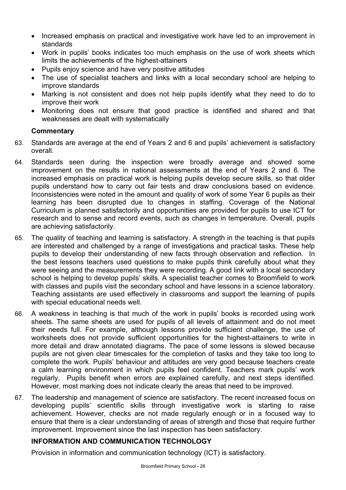- Increased emphasis on practical and investigative work have led to an improvement in standards
- Work in pupils' books indicates too much emphasis on the use of work sheets which limits the achievements of the highest-attainers
- Pupils enjoy science and have very positive attitudes
- The use of specialist teachers and links with a local secondary school are helping to improve standards
- Marking is not consistent and does not help pupils identify what they need to do to improve their work
- Monitoring does not ensure that good practice is identified and shared and that weaknesses are dealt with systematically

## **Commentary**

- 63. Standards are average at the end of Years 2 and 6 and pupils' achievement is satisfactory overall.
- 64. Standards seen during the inspection were broadly average and showed some improvement on the results in national assessments at the end of Years 2 and 6. The increased emphasis on practical work is helping pupils develop secure skills, so that older pupils understand how to carry out fair tests and draw conclusions based on evidence. Inconsistencies were noted in the amount and quality of work of some Year 6 pupils as their learning has been disrupted due to changes in staffing. Coverage of the National Curriculum is planned satisfactorily and opportunities are provided for pupils to use ICT for research and to sense and record events, such as changes in temperature. Overall, pupils are achieving satisfactorily.
- 65. The quality of teaching and learning is satisfactory. A strength in the teaching is that pupils are interested and challenged by a range of investigations and practical tasks. These help pupils to develop their understanding of new facts through observation and reflection. In the best lessons teachers used questions to make pupils think carefully about what they were seeing and the measurements they were recording. A good link with a local secondary school is helping to develop pupils' skills. A specialist teacher comes to Broomfield to work with classes and pupils visit the secondary school and have lessons in a science laboratory. Teaching assistants are used effectively in classrooms and support the learning of pupils with special educational needs well.
- 66. A weakness in teaching is that much of the work in pupils' books is recorded using work sheets. The same sheets are used for pupils of all levels of attainment and do not meet their needs full. For example, although lessons provide sufficient challenge, the use of worksheets does not provide sufficient opportunities for the highest-attainers to write in more detail and draw annotated diagrams. The pace of some lessons is slowed because pupils are not given clear timescales for the completion of tasks and they take too long to complete the work. Pupils' behaviour and attitudes are very good because teachers create a calm learning environment in which pupils feel confident. Teachers mark pupils' work regularly. Pupils benefit when errors are explained carefully, and next steps identified. However, most marking does not indicate clearly the areas that need to be improved.
- 67. The leadership and management of science are satisfactory. The recent increased focus on developing pupils' scientific skills through investigative work is starting to raise achievement. However, checks are not made regularly enough or in a focused way to ensure that there is a clear understanding of areas of strength and those that require further improvement. Improvement since the last inspection has been satisfactory.

# **INFORMATION AND COMMUNICATION TECHNOLOGY**

Provision in information and communication technology (ICT) is satisfactory.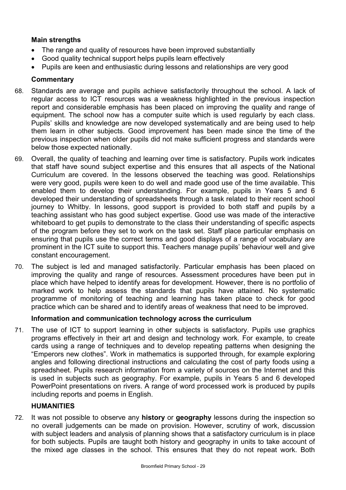## **Main strengths**

- The range and quality of resources have been improved substantially
- Good quality technical support helps pupils learn effectively
- Pupils are keen and enthusiastic during lessons and relationships are very good

## **Commentary**

- 68. Standards are average and pupils achieve satisfactorily throughout the school. A lack of regular access to ICT resources was a weakness highlighted in the previous inspection report and considerable emphasis has been placed on improving the quality and range of equipment. The school now has a computer suite which is used regularly by each class. Pupils' skills and knowledge are now developed systematically and are being used to help them learn in other subjects. Good improvement has been made since the time of the previous inspection when older pupils did not make sufficient progress and standards were below those expected nationally.
- 69. Overall, the quality of teaching and learning over time is satisfactory. Pupils work indicates that staff have sound subject expertise and this ensures that all aspects of the National Curriculum are covered. In the lessons observed the teaching was good. Relationships were very good, pupils were keen to do well and made good use of the time available. This enabled them to develop their understanding. For example, pupils in Years 5 and 6 developed their understanding of spreadsheets through a task related to their recent school journey to Whitby. In lessons, good support is provided to both staff and pupils by a teaching assistant who has good subject expertise. Good use was made of the interactive whiteboard to get pupils to demonstrate to the class their understanding of specific aspects of the program before they set to work on the task set. Staff place particular emphasis on ensuring that pupils use the correct terms and good displays of a range of vocabulary are prominent in the ICT suite to support this. Teachers manage pupils' behaviour well and give constant encouragement.
- 70. The subject is led and managed satisfactorily. Particular emphasis has been placed on improving the quality and range of resources. Assessment procedures have been put in place which have helped to identify areas for development. However, there is no portfolio of marked work to help assess the standards that pupils have attained. No systematic programme of monitoring of teaching and learning has taken place to check for good practice which can be shared and to identify areas of weakness that need to be improved.

### **Information and communication technology across the curriculum**

71. The use of ICT to support learning in other subjects is satisfactory. Pupils use graphics programs effectively in their art and design and technology work. For example, to create cards using a range of techniques and to develop repeating patterns when designing the "Emperors new clothes". Work in mathematics is supported through, for example exploring angles and following directional instructions and calculating the cost of party foods using a spreadsheet. Pupils research information from a variety of sources on the Internet and this is used in subjects such as geography. For example, pupils in Years 5 and 6 developed PowerPoint presentations on rivers. A range of word processed work is produced by pupils including reports and poems in English.

# **HUMANITIES**

72. It was not possible to observe any **history** or **geography** lessons during the inspection so no overall judgements can be made on provision. However, scrutiny of work, discussion with subject leaders and analysis of planning shows that a satisfactory curriculum is in place for both subjects. Pupils are taught both history and geography in units to take account of the mixed age classes in the school. This ensures that they do not repeat work. Both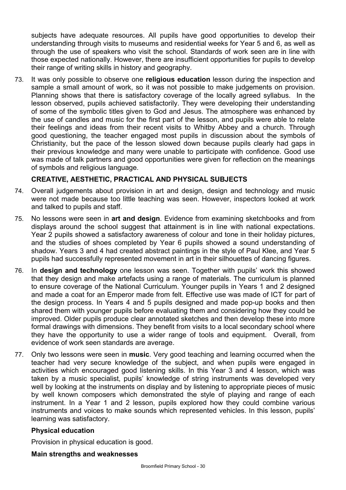subjects have adequate resources. All pupils have good opportunities to develop their understanding through visits to museums and residential weeks for Year 5 and 6, as well as through the use of speakers who visit the school. Standards of work seen are in line with those expected nationally. However, there are insufficient opportunities for pupils to develop their range of writing skills in history and geography.

73. It was only possible to observe one **religious education** lesson during the inspection and sample a small amount of work, so it was not possible to make judgements on provision. Planning shows that there is satisfactory coverage of the locally agreed syllabus. In the lesson observed, pupils achieved satisfactorily. They were developing their understanding of some of the symbolic titles given to God and Jesus. The atmosphere was enhanced by the use of candles and music for the first part of the lesson, and pupils were able to relate their feelings and ideas from their recent visits to Whitby Abbey and a church. Through good questioning, the teacher engaged most pupils in discussion about the symbols of Christianity, but the pace of the lesson slowed down because pupils clearly had gaps in their previous knowledge and many were unable to participate with confidence. Good use was made of talk partners and good opportunities were given for reflection on the meanings of symbols and religious language.

## **CREATIVE, AESTHETIC, PRACTICAL AND PHYSICAL SUBJECTS**

- 74. Overall judgements about provision in art and design, design and technology and music were not made because too little teaching was seen. However, inspectors looked at work and talked to pupils and staff.
- 75. No lessons were seen in **art and design**. Evidence from examining sketchbooks and from displays around the school suggest that attainment is in line with national expectations. Year 2 pupils showed a satisfactory awareness of colour and tone in their holiday pictures, and the studies of shoes completed by Year 6 pupils showed a sound understanding of shadow. Years 3 and 4 had created abstract paintings in the style of Paul Klee, and Year 5 pupils had successfully represented movement in art in their silhouettes of dancing figures.
- 76. In **design and technology** one lesson was seen. Together with pupils' work this showed that they design and make artefacts using a range of materials. The curriculum is planned to ensure coverage of the National Curriculum. Younger pupils in Years 1 and 2 designed and made a coat for an Emperor made from felt. Effective use was made of ICT for part of the design process. In Years 4 and 5 pupils designed and made pop-up books and then shared them with younger pupils before evaluating them and considering how they could be improved. Older pupils produce clear annotated sketches and then develop these into more formal drawings with dimensions. They benefit from visits to a local secondary school where they have the opportunity to use a wider range of tools and equipment. Overall, from evidence of work seen standards are average.
- 77. Only two lessons were seen in **music**. Very good teaching and learning occurred when the teacher had very secure knowledge of the subject, and when pupils were engaged in activities which encouraged good listening skills. In this Year 3 and 4 lesson, which was taken by a music specialist, pupils' knowledge of string instruments was developed very well by looking at the instruments on display and by listening to appropriate pieces of music by well known composers which demonstrated the style of playing and range of each instrument. In a Year 1 and 2 lesson, pupils explored how they could combine various instruments and voices to make sounds which represented vehicles. In this lesson, pupils' learning was satisfactory.

### **Physical education**

Provision in physical education is good.

#### **Main strengths and weaknesses**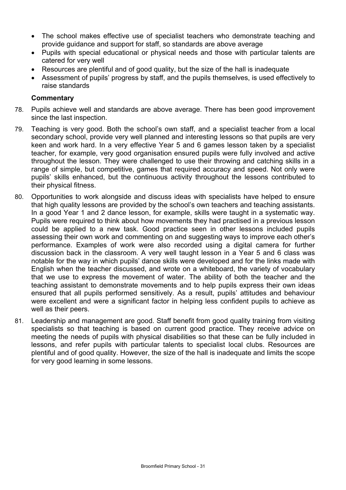- The school makes effective use of specialist teachers who demonstrate teaching and provide guidance and support for staff, so standards are above average
- Pupils with special educational or physical needs and those with particular talents are catered for very well
- Resources are plentiful and of good quality, but the size of the hall is inadequate
- Assessment of pupils' progress by staff, and the pupils themselves, is used effectively to raise standards

- 78. Pupils achieve well and standards are above average. There has been good improvement since the last inspection.
- 79. Teaching is very good. Both the school's own staff, and a specialist teacher from a local secondary school, provide very well planned and interesting lessons so that pupils are very keen and work hard. In a very effective Year 5 and 6 games lesson taken by a specialist teacher, for example, very good organisation ensured pupils were fully involved and active throughout the lesson. They were challenged to use their throwing and catching skills in a range of simple, but competitive, games that required accuracy and speed. Not only were pupils' skills enhanced, but the continuous activity throughout the lessons contributed to their physical fitness.
- 80. Opportunities to work alongside and discuss ideas with specialists have helped to ensure that high quality lessons are provided by the school's own teachers and teaching assistants. In a good Year 1 and 2 dance lesson, for example, skills were taught in a systematic way. Pupils were required to think about how movements they had practised in a previous lesson could be applied to a new task. Good practice seen in other lessons included pupils assessing their own work and commenting on and suggesting ways to improve each other's performance. Examples of work were also recorded using a digital camera for further discussion back in the classroom. A very well taught lesson in a Year 5 and 6 class was notable for the way in which pupils' dance skills were developed and for the links made with English when the teacher discussed, and wrote on a whiteboard, the variety of vocabulary that we use to express the movement of water. The ability of both the teacher and the teaching assistant to demonstrate movements and to help pupils express their own ideas ensured that all pupils performed sensitively. As a result, pupils' attitudes and behaviour were excellent and were a significant factor in helping less confident pupils to achieve as well as their peers.
- 81. Leadership and management are good. Staff benefit from good quality training from visiting specialists so that teaching is based on current good practice. They receive advice on meeting the needs of pupils with physical disabilities so that these can be fully included in lessons, and refer pupils with particular talents to specialist local clubs. Resources are plentiful and of good quality. However, the size of the hall is inadequate and limits the scope for very good learning in some lessons.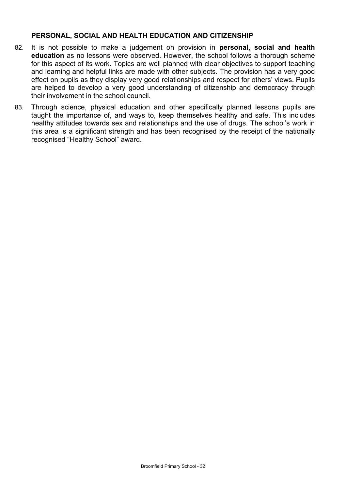#### **PERSONAL, SOCIAL AND HEALTH EDUCATION AND CITIZENSHIP**

- 82. It is not possible to make a judgement on provision in **personal, social and health education** as no lessons were observed. However, the school follows a thorough scheme for this aspect of its work. Topics are well planned with clear objectives to support teaching and learning and helpful links are made with other subjects. The provision has a very good effect on pupils as they display very good relationships and respect for others' views. Pupils are helped to develop a very good understanding of citizenship and democracy through their involvement in the school council.
- 83. Through science, physical education and other specifically planned lessons pupils are taught the importance of, and ways to, keep themselves healthy and safe. This includes healthy attitudes towards sex and relationships and the use of drugs. The school's work in this area is a significant strength and has been recognised by the receipt of the nationally recognised "Healthy School" award.